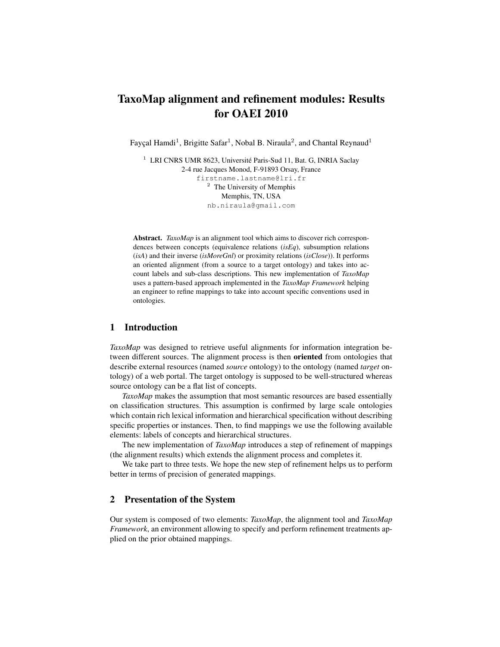# TaxoMap alignment and refinement modules: Results for OAEI 2010

Fayçal Hamdi<sup>1</sup>, Brigitte Safar<sup>1</sup>, Nobal B. Niraula<sup>2</sup>, and Chantal Reynaud<sup>1</sup>

<sup>1</sup> LRI CNRS UMR 8623, Université Paris-Sud 11, Bat. G, INRIA Saclay 2-4 rue Jacques Monod, F-91893 Orsay, France firstname.lastname@lri.fr <sup>2</sup> The University of Memphis Memphis, TN, USA nb.niraula@gmail.com

Abstract. *TaxoMap* is an alignment tool which aims to discover rich correspondences between concepts (equivalence relations (*isEq*), subsumption relations (*isA*) and their inverse (*isMoreGnl*) or proximity relations (*isClose*)). It performs an oriented alignment (from a source to a target ontology) and takes into account labels and sub-class descriptions. This new implementation of *TaxoMap* uses a pattern-based approach implemented in the *TaxoMap Framework* helping an engineer to refine mappings to take into account specific conventions used in ontologies.

## 1 Introduction

*TaxoMap* was designed to retrieve useful alignments for information integration between different sources. The alignment process is then oriented from ontologies that describe external resources (named *source* ontology) to the ontology (named *target* ontology) of a web portal. The target ontology is supposed to be well-structured whereas source ontology can be a flat list of concepts.

*TaxoMap* makes the assumption that most semantic resources are based essentially on classification structures. This assumption is confirmed by large scale ontologies which contain rich lexical information and hierarchical specification without describing specific properties or instances. Then, to find mappings we use the following available elements: labels of concepts and hierarchical structures.

The new implementation of *TaxoMap* introduces a step of refinement of mappings (the alignment results) which extends the alignment process and completes it.

We take part to three tests. We hope the new step of refinement helps us to perform better in terms of precision of generated mappings.

## 2 Presentation of the System

Our system is composed of two elements: *TaxoMap*, the alignment tool and *TaxoMap Framework*, an environment allowing to specify and perform refinement treatments applied on the prior obtained mappings.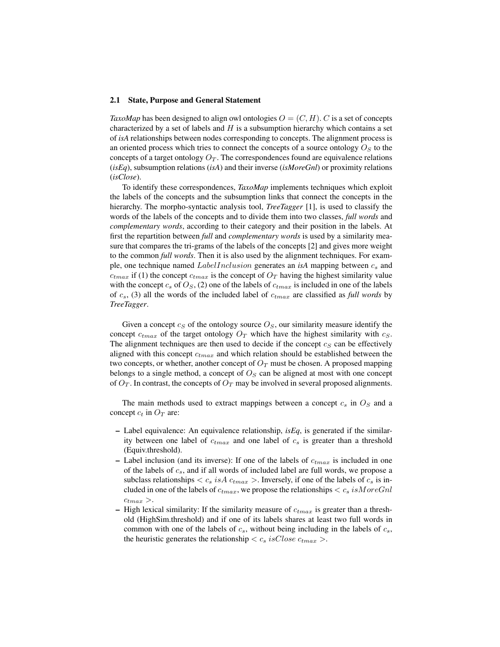#### 2.1 State, Purpose and General Statement

*TaxoMap* has been designed to align owl ontologies  $O = (C, H)$ . C is a set of concepts characterized by a set of labels and  $H$  is a subsumption hierarchy which contains a set of *isA* relationships between nodes corresponding to concepts. The alignment process is an oriented process which tries to connect the concepts of a source ontology  $O<sub>S</sub>$  to the concepts of a target ontology  $O_T$ . The correspondences found are equivalence relations (*isEq*), subsumption relations (*isA*) and their inverse (*isMoreGnl*) or proximity relations (*isClose*).

To identify these correspondences, *TaxoMap* implements techniques which exploit the labels of the concepts and the subsumption links that connect the concepts in the hierarchy. The morpho-syntactic analysis tool, *TreeTagger* [1], is used to classify the words of the labels of the concepts and to divide them into two classes, *full words* and *complementary words*, according to their category and their position in the labels. At first the repartition between *full* and *complementary words* is used by a similarity measure that compares the tri-grams of the labels of the concepts [2] and gives more weight to the common *full words*. Then it is also used by the alignment techniques. For example, one technique named *LabelInclusion* generates an *isA* mapping between  $c_s$  and  $c_{tmax}$  if (1) the concept  $c_{tmax}$  is the concept of  $O<sub>T</sub>$  having the highest similarity value with the concept  $c_s$  of  $O_s$ , (2) one of the labels of  $c_{tmax}$  is included in one of the labels of  $c_s$ , (3) all the words of the included label of  $c_{tmax}$  are classified as *full words* by *TreeTagger*.

Given a concept  $c_S$  of the ontology source  $O_S$ , our similarity measure identify the concept  $c<sub>tmax</sub>$  of the target ontology  $O<sub>T</sub>$  which have the highest similarity with  $c<sub>S</sub>$ . The alignment techniques are then used to decide if the concept  $c_S$  can be effectively aligned with this concept  $c<sub>tmax</sub>$  and which relation should be established between the two concepts, or whether, another concept of  $O_T$  must be chosen. A proposed mapping belongs to a single method, a concept of  $O<sub>S</sub>$  can be aligned at most with one concept of  $O_T$ . In contrast, the concepts of  $O_T$  may be involved in several proposed alignments.

The main methods used to extract mappings between a concept  $c_s$  in  $O_s$  and a concept  $c_t$  in  $O_T$  are:

- Label equivalence: An equivalence relationship, *isEq*, is generated if the similarity between one label of  $c_{tmax}$  and one label of  $c_s$  is greater than a threshold (Equiv.threshold).
- Label inclusion (and its inverse): If one of the labels of  $c_{tmax}$  is included in one of the labels of  $c_s$ , and if all words of included label are full words, we propose a subclass relationships  $\langle c_s \rangle$  is  $A \rangle c_{tmax}$ . Inversely, if one of the labels of  $c_s$  is included in one of the labels of  $c_{tmax}$ , we propose the relationships  $\langle c_s \, isMoreGnl$  $c_{tmax} >$ .
- High lexical similarity: If the similarity measure of  $c<sub>tmax</sub>$  is greater than a threshold (HighSim.threshold) and if one of its labels shares at least two full words in common with one of the labels of  $c_s$ , without being including in the labels of  $c_s$ , the heuristic generates the relationship  $\langle c_s \, isClose \, c_{tmax} \rangle$ .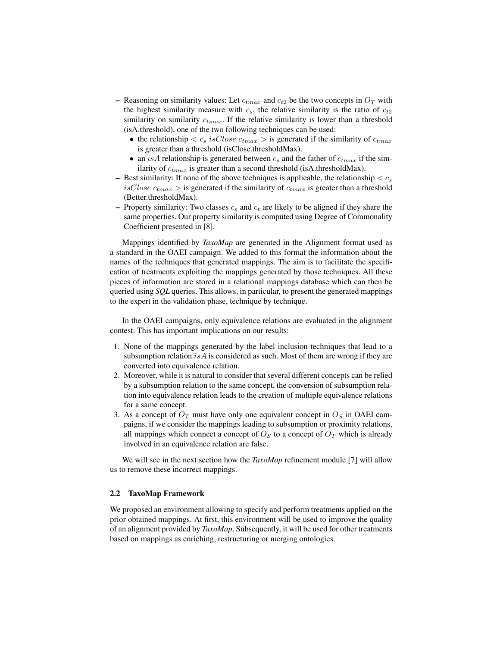- Reasoning on similarity values: Let  $c_{tmax}$  and  $c_{t2}$  be the two concepts in  $O<sub>T</sub>$  with the highest similarity measure with  $c_s$ , the relative similarity is the ratio of  $c_{t2}$ similarity on similarity  $c_{tmax}$ . If the relative similarity is lower than a threshold (isA.threshold), one of the two following techniques can be used:
	- the relationship  $\langle c_s \ is \text{Close } c_{tmax} \rangle$  is generated if the similarity of  $c_{tmax}$ is greater than a threshold (isClose.thresholdMax).
	- an is A relationship is generated between  $c_s$  and the father of  $c_{tmax}$  if the similarity of  $c_{tmax}$  is greater than a second threshold (isA.thresholdMax).
- Best similarity: If none of the above techniques is applicable, the relationship  $\langle c_s \rangle$ isClose  $c_{tmax} >$  is generated if the similarity of  $c_{tmax}$  is greater than a threshold (Better.thresholdMax).
- Property similarity: Two classes  $c_s$  and  $c_t$  are likely to be aligned if they share the same properties. Our property similarity is computed using Degree of Commonality Coefficient presented in [8].

Mappings identified by *TaxoMap* are generated in the Alignment format used as a standard in the OAEI campaign. We added to this format the information about the names of the techniques that generated mappings. The aim is to facilitate the specification of treatments exploiting the mappings generated by those techniques. All these pieces of information are stored in a relational mappings database which can then be queried using *SQL* queries. This allows, in particular, to present the generated mappings to the expert in the validation phase, technique by technique.

In the OAEI campaigns, only equivalence relations are evaluated in the alignment contest. This has important implications on our results:

- 1. None of the mappings generated by the label inclusion techniques that lead to a subsumption relation is A is considered as such. Most of them are wrong if they are converted into equivalence relation.
- 2. Moreover, while it is natural to consider that several different concepts can be relied by a subsumption relation to the same concept, the conversion of subsumption relation into equivalence relation leads to the creation of multiple equivalence relations for a same concept.
- 3. As a concept of  $O_T$  must have only one equivalent concept in  $O_S$  in OAEI campaigns, if we consider the mappings leading to subsumption or proximity relations, all mappings which connect a concept of  $O<sub>S</sub>$  to a concept of  $O<sub>T</sub>$  which is already involved in an equivalence relation are false.

We will see in the next section how the *TaxoMap* refinement module [7] will allow us to remove these incorrect mappings.

## 2.2 TaxoMap Framework

We proposed an environment allowing to specify and perform treatments applied on the prior obtained mappings. At first, this environment will be used to improve the quality of an alignment provided by *TaxoMap*. Subsequently, it will be used for other treatments based on mappings as enriching, restructuring or merging ontologies.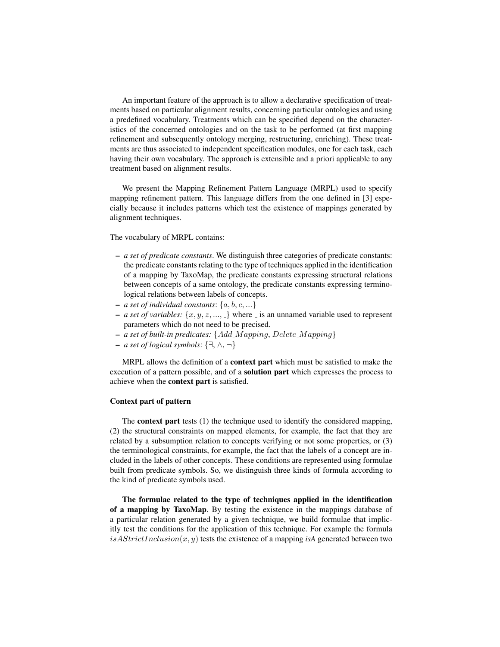An important feature of the approach is to allow a declarative specification of treatments based on particular alignment results, concerning particular ontologies and using a predefined vocabulary. Treatments which can be specified depend on the characteristics of the concerned ontologies and on the task to be performed (at first mapping refinement and subsequently ontology merging, restructuring, enriching). These treatments are thus associated to independent specification modules, one for each task, each having their own vocabulary. The approach is extensible and a priori applicable to any treatment based on alignment results.

We present the Mapping Refinement Pattern Language (MRPL) used to specify mapping refinement pattern. This language differs from the one defined in [3] especially because it includes patterns which test the existence of mappings generated by alignment techniques.

The vocabulary of MRPL contains:

- *a set of predicate constants*. We distinguish three categories of predicate constants: the predicate constants relating to the type of techniques applied in the identification of a mapping by TaxoMap, the predicate constants expressing structural relations between concepts of a same ontology, the predicate constants expressing terminological relations between labels of concepts.
- *a set of individual constants*: {a, b, c, ...}
- *a set of variables:*  $\{x, y, z, \dots, \}$  where  $\bot$  is an unnamed variable used to represent parameters which do not need to be precised.
- *a set of built-in predicates:* {Add M apping, Delete M apping}
- *a set of logical symbols*: {∃, ∧, ¬}

MRPL allows the definition of a **context part** which must be satisfied to make the execution of a pattern possible, and of a solution part which expresses the process to achieve when the context part is satisfied.

## Context part of pattern

The context part tests (1) the technique used to identify the considered mapping, (2) the structural constraints on mapped elements, for example, the fact that they are related by a subsumption relation to concepts verifying or not some properties, or (3) the terminological constraints, for example, the fact that the labels of a concept are included in the labels of other concepts. These conditions are represented using formulae built from predicate symbols. So, we distinguish three kinds of formula according to the kind of predicate symbols used.

The formulae related to the type of techniques applied in the identification of a mapping by TaxoMap. By testing the existence in the mappings database of a particular relation generated by a given technique, we build formulae that implicitly test the conditions for the application of this technique. For example the formula  $is A Strict Inclusion(x, y)$  tests the existence of a mapping *isA* generated between two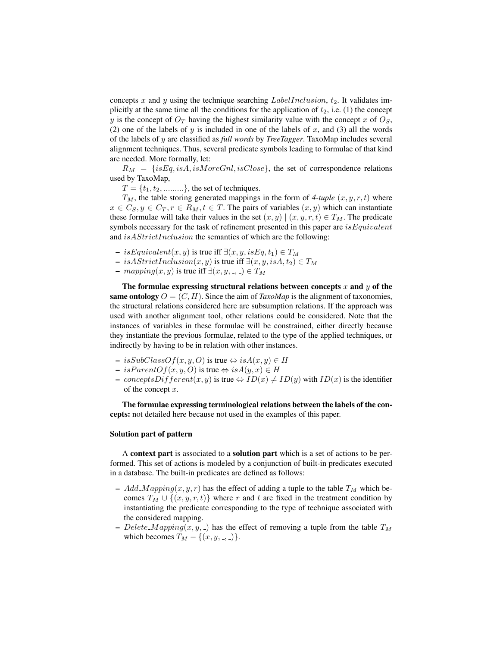concepts x and y using the technique searching  $LabelInclusion$ ,  $t_2$ . It validates implicitly at the same time all the conditions for the application of  $t_2$ , i.e. (1) the concept y is the concept of  $O_T$  having the highest similarity value with the concept x of  $O_S$ , (2) one of the labels of  $y$  is included in one of the labels of  $x$ , and (3) all the words of the labels of y are classified as *full words* by *TreeTagger*. TaxoMap includes several alignment techniques. Thus, several predicate symbols leading to formulae of that kind are needed. More formally, let:

 $R_M = \{isEq, isA, isMoreGnl, isClose\}$ , the set of correspondence relations used by TaxoMap,

 $T = \{t_1, t_2, \dots, t_n\}$ , the set of techniques.

 $T_M$ , the table storing generated mappings in the form of 4-tuple  $(x, y, r, t)$  where  $x \in C_S, y \in C_T, r \in R_M, t \in T$ . The pairs of variables  $(x, y)$  which can instantiate these formulae will take their values in the set  $(x, y) | (x, y, r, t) \in T_M$ . The predicate symbols necessary for the task of refinement presented in this paper are  $isEquivalent$ and *isAStrictInclusion* the semantics of which are the following:

- $-$  is Equivalent $(x, y)$  is true iff  $\exists (x, y, is Eq, t_1) \in T_M$
- isAStrictInclusion(x, y) is true iff  $\exists$ (x, y, isA, t<sub>2</sub>) ∈ T<sub>M</sub>
- $-$  mapping $(x, y)$  is true iff  $\exists (x, y, \ldots) \in T_M$

The formulae expressing structural relations between concepts  $x$  and  $y$  of the same ontology  $O = (C, H)$ . Since the aim of *TaxoMap* is the alignment of taxonomies, the structural relations considered here are subsumption relations. If the approach was used with another alignment tool, other relations could be considered. Note that the instances of variables in these formulae will be constrained, either directly because they instantiate the previous formulae, related to the type of the applied techniques, or indirectly by having to be in relation with other instances.

- $-$  isSubClassOf(x, y, O) is true  $\Leftrightarrow$  isA(x, y)  $\in$  H
- $-$  is  $ParentOf(x, y, O)$  is true  $\Leftrightarrow$  is  $A(y, x) \in H$
- conceptsDifferent(x, y) is true  $\Leftrightarrow ID(x) \neq ID(y)$  with  $ID(x)$  is the identifier of the concept x.

The formulae expressing terminological relations between the labels of the concepts: not detailed here because not used in the examples of this paper.

## Solution part of pattern

A context part is associated to a solution part which is a set of actions to be performed. This set of actions is modeled by a conjunction of built-in predicates executed in a database. The built-in predicates are defined as follows:

- Add\_Mapping $(x, y, r)$  has the effect of adding a tuple to the table  $T_M$  which becomes  $T_M \cup \{(x, y, r, t)\}\$  where r and t are fixed in the treatment condition by instantiating the predicate corresponding to the type of technique associated with the considered mapping.
- Delete Mapping $(x, y, z)$  has the effect of removing a tuple from the table  $T_M$ which becomes  $T_M - \{(x, y, \ldots)\}.$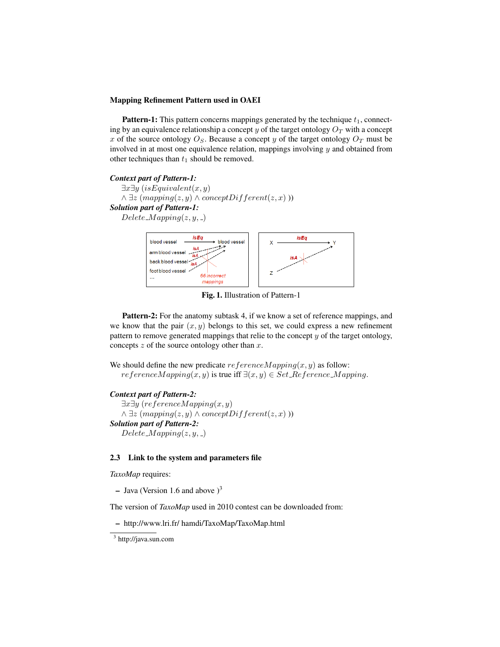#### Mapping Refinement Pattern used in OAEI

**Pattern-1:** This pattern concerns mappings generated by the technique  $t_1$ , connecting by an equivalence relationship a concept  $y$  of the target ontology  $O_T$  with a concept x of the source ontology  $O_S$ . Because a concept y of the target ontology  $O_T$  must be involved in at most one equivalence relation, mappings involving  $y$  and obtained from other techniques than  $t_1$  should be removed.

#### *Context part of Pattern-1:*

 $\exists x \exists y \ (isEquivalent(x, y))$  $\land \exists z \ (mapping(z, y) \land conceptDifferent(z, x)))$ *Solution part of Pattern-1:*  $Delete\_Mapping(z, y, z)$ 



Fig. 1. Illustration of Pattern-1

Pattern-2: For the anatomy subtask 4, if we know a set of reference mappings, and we know that the pair  $(x, y)$  belongs to this set, we could express a new refinement pattern to remove generated mappings that relie to the concept  $y$  of the target ontology, concepts  $z$  of the source ontology other than  $x$ .

We should define the new predicate  $referenceMapping(x, y)$  as follow:  $referenceMapping(x, y)$  is true iff  $\exists (x, y) \in Set\_Reference\_Mapping$ .

#### *Context part of Pattern-2:*

 $\exists x \exists y$  (referenceMapping $(x, y)$ )  $\land \exists z \ (mapping(z, y) \land conceptDifferent(z, x)))$ *Solution part of Pattern-2:*  $Delete\_Mapping(z, y, z)$ 

## 2.3 Link to the system and parameters file

*TaxoMap* requires:

– Java (Version 1.6 and above  $)^3$ 

The version of *TaxoMap* used in 2010 contest can be downloaded from:

– http://www.lri.fr/ hamdi/TaxoMap/TaxoMap.html

<sup>&</sup>lt;sup>3</sup> http://java.sun.com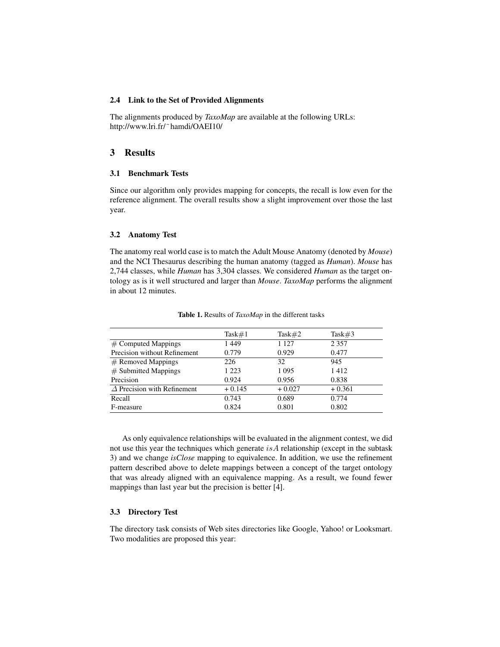#### 2.4 Link to the Set of Provided Alignments

The alignments produced by *TaxoMap* are available at the following URLs: http://www.lri.fr/˜hamdi/OAEI10/

# 3 Results

#### 3.1 Benchmark Tests

Since our algorithm only provides mapping for concepts, the recall is low even for the reference alignment. The overall results show a slight improvement over those the last year.

#### 3.2 Anatomy Test

The anatomy real world case is to match the Adult Mouse Anatomy (denoted by *Mouse*) and the NCI Thesaurus describing the human anatomy (tagged as *Human*). *Mouse* has 2,744 classes, while *Human* has 3,304 classes. We considered *Human* as the target ontology as is it well structured and larger than *Mouse*. *TaxoMap* performs the alignment in about 12 minutes.

|                                    | Task#1   | Task $#2$ | Task $#3$ |
|------------------------------------|----------|-----------|-----------|
| $\#$ Computed Mappings             | 1449     | 1 1 2 7   | 2 3 5 7   |
| Precision without Refinement       | 0.779    | 0.929     | 0.477     |
| $#$ Removed Mappings               | 226      | 32        | 945       |
| $#$ Submitted Mappings             | 1 2 2 3  | 1 0 9 5   | 1412      |
| Precision                          | 0.924    | 0.956     | 0.838     |
| $\Delta$ Precision with Refinement | $+0.145$ | $+0.027$  | $+0.361$  |
| Recall                             | 0.743    | 0.689     | 0.774     |
| F-measure                          | 0.824    | 0.801     | 0.802     |

Table 1. Results of *TaxoMap* in the different tasks

As only equivalence relationships will be evaluated in the alignment contest, we did not use this year the techniques which generate  $isA$  relationship (except in the subtask 3) and we change *isClose* mapping to equivalence. In addition, we use the refinement pattern described above to delete mappings between a concept of the target ontology that was already aligned with an equivalence mapping. As a result, we found fewer mappings than last year but the precision is better [4].

## 3.3 Directory Test

The directory task consists of Web sites directories like Google, Yahoo! or Looksmart. Two modalities are proposed this year: